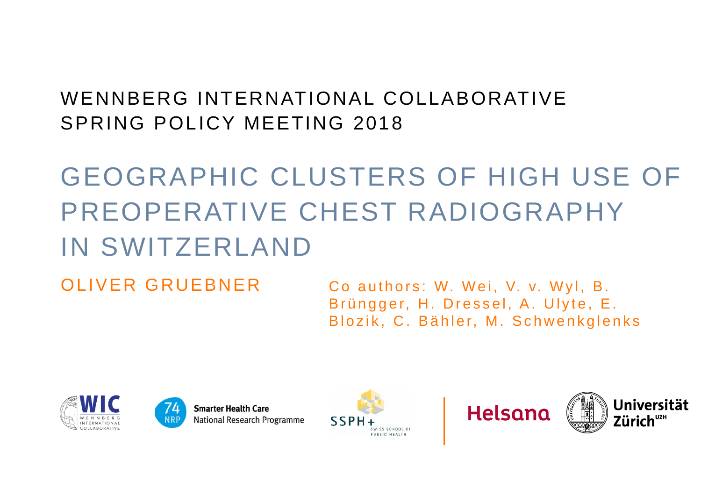#### WENNBERG INTERNATIONAL COLLABORATIVESPRING POLICY MEETING 2018

# GEOGRAPHIC CLUSTERS OF HIGH USE OF PREOPERATIVE CHEST RADIOGRAPHY IN SWITZERLAND

OLIVER GRUEBNER

Co authors: W. Wei, V. v. Wyl, B. Brüngger, H. Dressel, A. Ulyte, E. Blozik, C. Bähler, M. Schwenkglenks





SSP WISS SCHOOL OF BURILE UEALTH



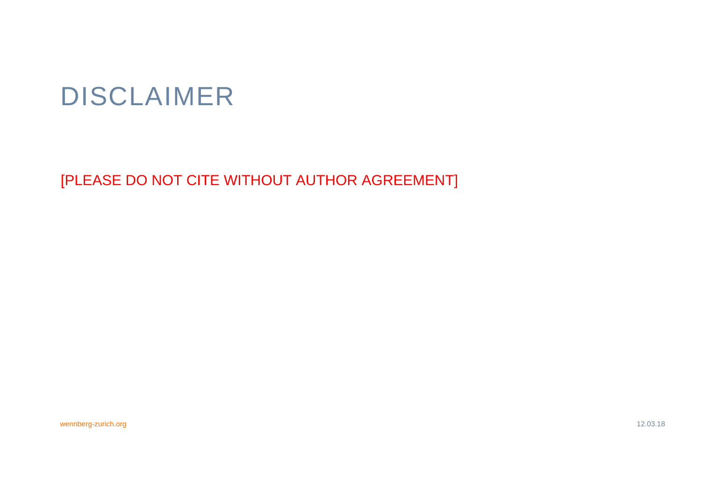## DISCLAIMER

[PLEASE DO NOT CITE WITHOUT AUTHOR AGREEMENT]

wennberg-zurich.org 12.03.18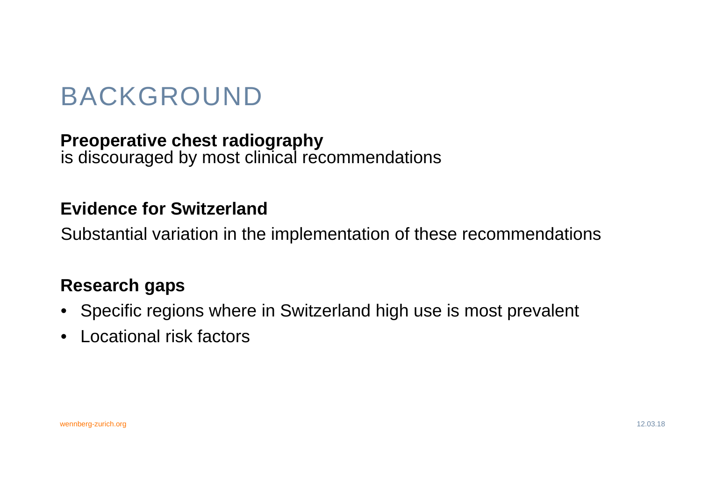## BACKGROUND

#### **Preoperative chest radiography**

is discouraged by most clinical recommendations

#### **Evidence for Switzerland**

Substantial variation in the implementation of these recommendations

#### **Research gaps**

- Specific regions where in Switzerland high use is most prevalent
- $\bullet$ Locational risk factors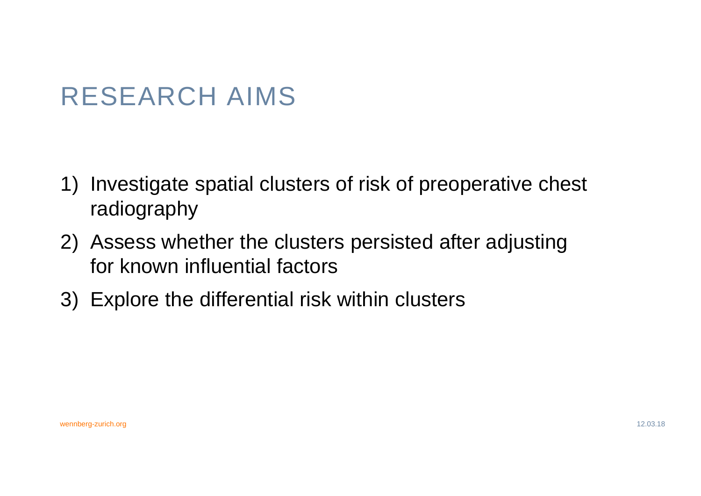## RESEARCH AIMS

- 1) Investigate spatial clusters of risk of preoperative chest radiography
- 2) Assess whether the clusters persisted after adjusting for known influential factors
- 3) Explore the differential risk within clusters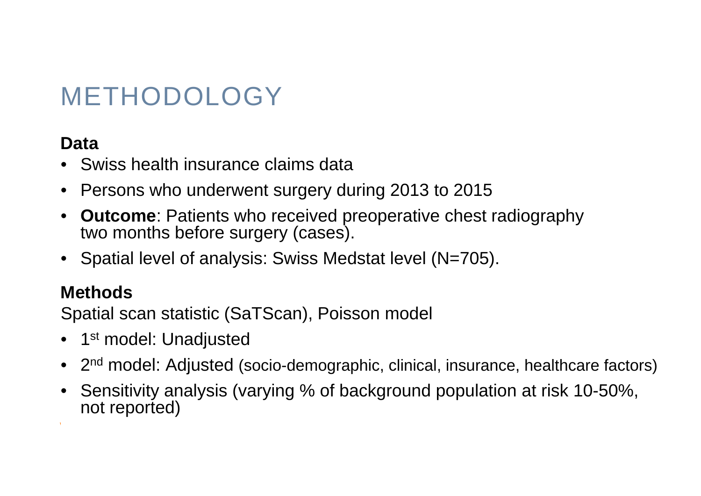## METHODOLOGY

#### **Data**

- •Swiss health insurance claims data
- •Persons who underwent surgery during 2013 to 2015
- • **Outcome**: Patients who received preoperative chest radiography two months before surgery (cases).
- $\bullet$ Spatial level of analysis: Swiss Medstat level (N=705).

#### **Methods**

Spatial scan statistic (SaTScan), Poisson model

- 1st model: Unadjusted
- 2<sup>nd</sup> model: Adjusted (socio-demographic, clinical, insurance, healthcare factors)

wennberg-zurich.org 12.03.18

 $\bullet$  Sensitivity analysis (varying % of background population at risk 10-50%, not reported)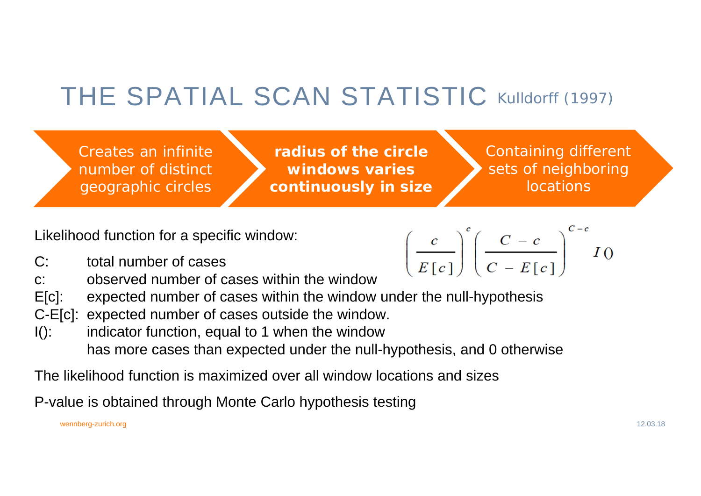## THE SPATIAL SCAN STATISTIC Kulldorff (1997)

Creates an infinite number of distinct geographic circles

**radius of the circle windows varies continuously in size** Containing different sets of neighboring locations

 $\left(\frac{c}{E[c]}\right)^{c} \left(\frac{C-c}{C-E[c]}\right)^{c-c} I($ 

Likelihood function for a specific window:

- C: total number of cases
- c: observed number of cases within the window
- E[c]: expected number of cases within the window under the null-hypothesis
- C-E[c]: expected number of cases outside the window.
- $I()$ : indicator function, equal to 1 when the window has more cases than expected under the null-hypothesis, and 0 otherwise

The likelihood function is maximized over all window locations and sizes

P-value is obtained through Monte Carlo hypothesis testing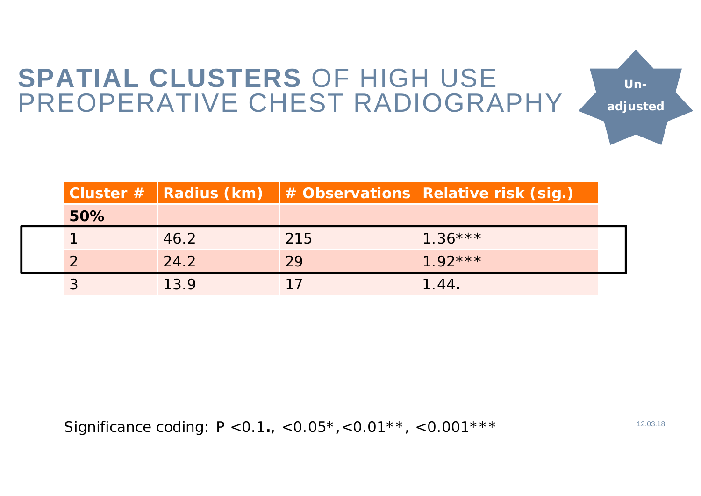# **SPATIAL CLUSTERS** OF HIGH USE Un-<br>PREOPERATIVE CHEST RADIOGRAPHY

**Cluster # Radius (km) # Observations Relative risk (sig.) 50%**1 46.2 215 1.36\*\*\*2 24.2 29 1.92\*\*\* 3 13.9 17 1.44**.**

Significance coding: P <0.1., <0.05<sup>\*</sup>, <0.01<sup>\*\*</sup>, <0.001<sup>\*\*\*</sup>

**Un-**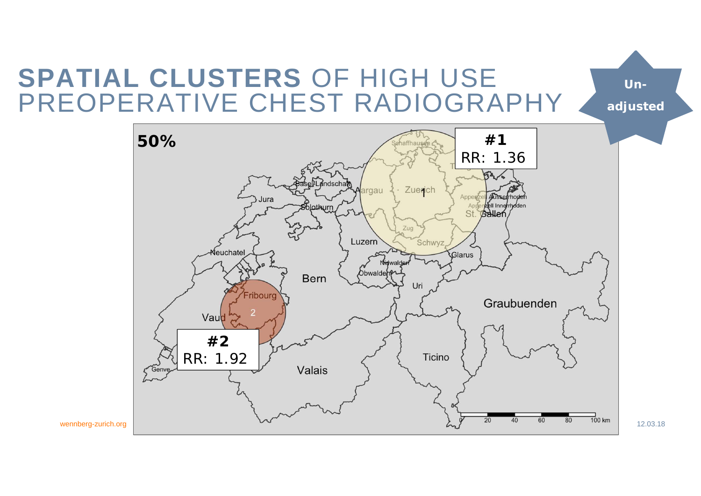# **SPATIAL CLUSTERS** OF HIGH USE Un-<br>PREOPERATIVE CHEST RADIOGRAPHY



**Un-**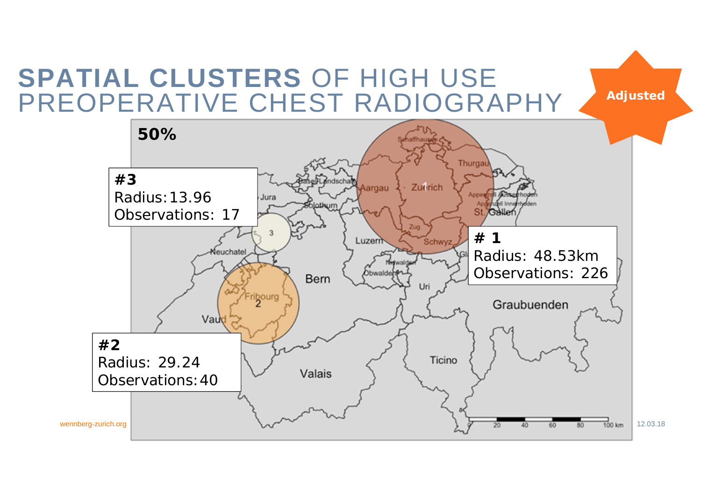### **SPATIAL CLUSTERS** OF HIGH USE PREOPERATIVE CHEST RADIOGRAPHY

**Adjusted**

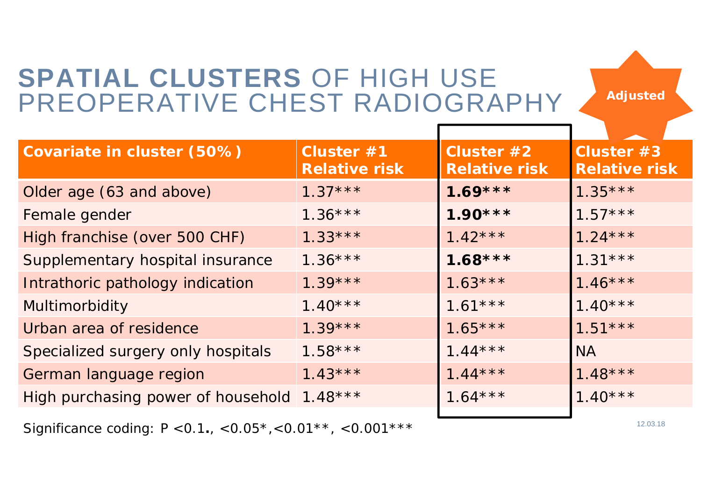### **SPATIAL CLUSTERS** OF HIGH USE PREOPERATIVE CHEST RADIOGRAPHY

**Adjusted**

| Covariate in cluster (50%)         | Cluster #1<br><b>Relative risk</b> | Cluster #2<br><b>Relative risk</b> | Cluster #3<br><b>Relative risk</b> |
|------------------------------------|------------------------------------|------------------------------------|------------------------------------|
| Older age (63 and above)           | $1.37***$                          | $1.69***$                          | $1.35***$                          |
| Female gender                      | $1.36***$                          | $1.90***$                          | $1.57***$                          |
| High franchise (over 500 CHF)      | $1.33***$                          | $1.42***$                          | $1.24***$                          |
| Supplementary hospital insurance   | $1.36***$                          | $1.68***$                          | $1.31***$                          |
| Intrathoric pathology indication   | $1.39***$                          | $1.63***$                          | $1.46***$                          |
| Multimorbidity                     | $1.40***$                          | $1.61***$                          | $1.40***$                          |
| Urban area of residence            | $1.39***$                          | $1.65***$                          | $1.51***$                          |
| Specialized surgery only hospitals | $1.58***$                          | $1.44***$                          | <b>NA</b>                          |
| German language region             | $1.43***$                          | $1.44***$                          | $1.48***$                          |
| High purchasing power of household | $1.48***$                          | $1.64***$                          | $1.40***$                          |
|                                    |                                    |                                    |                                    |

Significance coding: P <0.1., <0.05\*,<0.01\*\*, <0.001\*\*\*  $\,$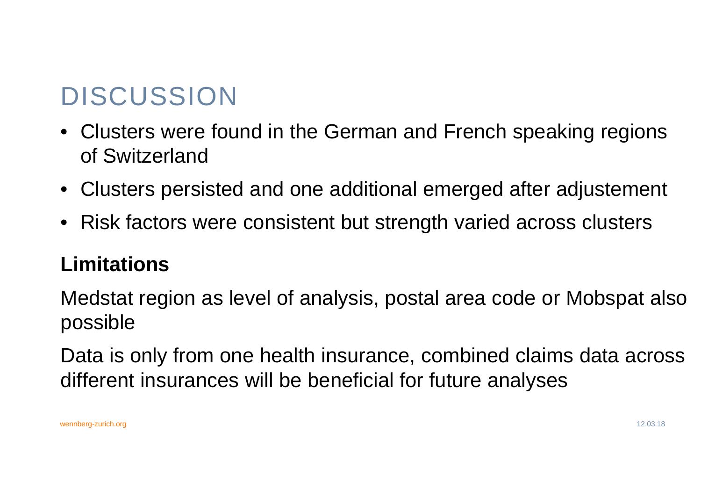## DISCUSSION

- Clusters were found in the German and French speaking regions of Switzerland
- Clusters persisted and one additional emerged after adjustement
- Risk factors were consistent but strength varied across clusters

#### **Limitations**

Medstat region as level of analysis, postal area code or Mobspat also possible

Data is only from one health insurance, combined claims data across different insurances will be beneficial for future analyses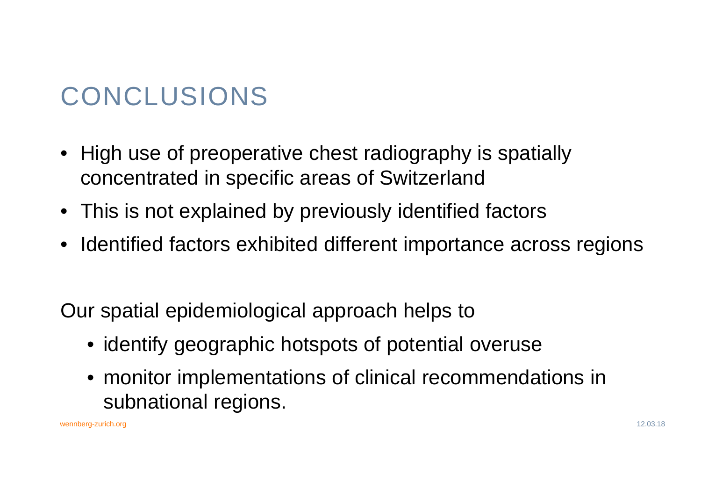## CONCLUSIONS

- High use of preoperative chest radiography is spatially concentrated in specific areas of Switzerland
- This is not explained by previously identified factors
- Identified factors exhibited different importance across regions

Our spatial epidemiological approach helps to

- identify geographic hotspots of potential overuse
- monitor implementations of clinical recommendations in subnational regions.